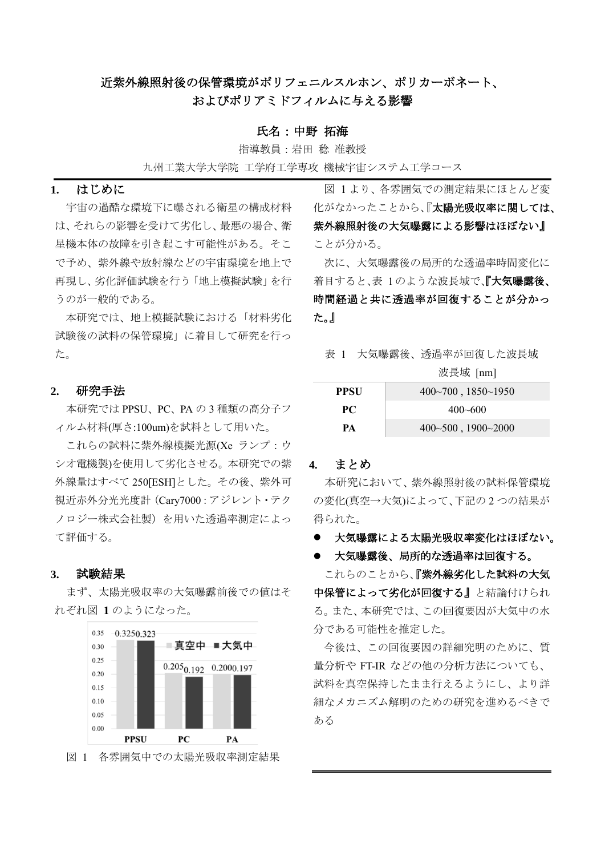# 近紫外線照射後の保管環境がポリフェニルスルホン、ポリカーボネート、 およびポリアミドフィルムに与える影響

### 氏名:中野 拓海

指導教員:岩田 稔 准教授

九州工業大学大学院 工学府工学専攻 機械宇宙システム工学コース

## **1.** はじめに

宇宙の過酷な環境下に曝される衛星の構成材料 は、それらの影響を受けて劣化し、最悪の場合、衛 星機本体の故障を引き起こす可能性がある。そこ で予め、紫外線や放射線などの宇宙環境を地上で 再現し、劣化評価試験を行う「地上模擬試験」を行 うのが一般的である。

本研究では、地上模擬試験における「材料劣化 試験後の試料の保管環境」に着目して研究を行っ た。

### **2.** 研究手法

本研究では PPSU、PC、PA の 3 種類の高分子フ ィルム材料(厚さ:100um)を試料として用いた。

これらの試料に紫外線模擬光源(Xe ランプ:ウ シオ電機製)を使用して劣化させる。本研究での紫 外線量はすべて 250[ESH]とした。その後、紫外可 視近赤外分光光度計(Cary7000:アジレント・テク ノロジー株式会社製)を用いた透過率測定によっ て評価する。

### **3.** 試験結果

まず、太陽光吸収率の大気曝露前後での値はそ れぞれ[図](#page-0-0) **[1](#page-0-0)** のようになった。



<span id="page-0-0"></span>図 1 各雰囲気中での太陽光吸収率測定結果

[図](#page-0-0) [1](#page-0-0) より、各雰囲気での測定結果にほとんど変 化がなかったことから、『太陽光吸収率に関しては、 紫外線照射後の大気曝露による影響はほぼない』 ことが分かる。

次に、大気曝露後の局所的な透過率時間変化に 着目すると、表 1のような波長域で、『大気曝露後、 時間経過と共に透過率が回復することが分かっ た。』

表 1 大気曝露後、透過率が回復した波長域

波長域 [nm]

| PPSU | $400 \sim 700$ , $1850 \sim 1950$ |
|------|-----------------------------------|
| PC.  | $400 - 600$                       |
| PА   | $400-500$ , $1900-2000$           |

#### **4.** まとめ

本研究において、紫外線照射後の試料保管環境 の変化(真空→大気)によって、下記の2つの結果が 得られた。

- 大気曝露による太陽光吸収率変化はほぼない。
- 大気曝露後、局所的な透過率は回復する。

これらのことから、『紫外線劣化した試料の大気 中保管によって劣化が回復する』と結論付けられ る。また、本研究では、この回復要因が大気中の水 分である可能性を推定した。

今後は、この回復要因の詳細究明のために、質 量分析や FT-IR などの他の分析方法についても、 試料を真空保持したまま行えるようにし、より詳 細なメカニズム解明のための研究を進めるべきで ある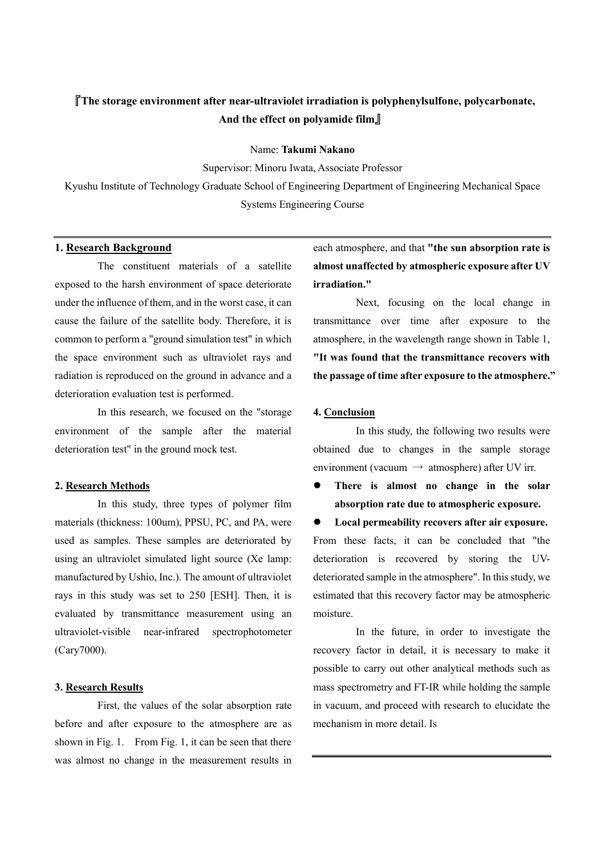# 『**The storage environment after near-ultraviolet irradiation is polyphenylsulfone, polycarbonate, And the effect on polyamide film**』

Name: **Takumi Nakano**

Supervisor: Minoru Iwata, Associate Professor

Kyushu Institute of Technology Graduate School of Engineering Department of Engineering Mechanical Space Systems Engineering Course

# **1. Research Background**

The constituent materials of a satellite exposed to the harsh environment of space deteriorate under the influence of them, and in the worst case, it can cause the failure of the satellite body. Therefore, it is common to perform a "ground simulation test" in which the space environment such as ultraviolet rays and radiation is reproduced on the ground in advance and a deterioration evaluation test is performed.

In this research, we focused on the "storage environment of the sample after the material deterioration test" in the ground mock test.

### **2. Research Methods**

In this study, three types of polymer film materials (thickness: 100um), PPSU, PC, and PA, were used as samples. These samples are deteriorated by using an ultraviolet simulated light source (Xe lamp: manufactured by Ushio, Inc.). The amount of ultraviolet rays in this study was set to 250 [ESH]. Then, it is evaluated by transmittance measurement using an ultraviolet-visible near-infrared spectrophotometer (Cary7000).

### **3. Research Results**

First, the values of the solar absorption rate before and after exposure to the atmosphere are as shown in Fig. 1. From Fig. 1, it can be seen that there was almost no change in the measurement results in each atmosphere, and that **"the sun absorption rate is almost unaffected by atmospheric exposure after UV irradiation."**

Next, focusing on the local change in transmittance over time after exposure to the atmosphere, in the wavelength range shown in Table 1, **"It was found that the transmittance recovers with the passage of time after exposure to the atmosphere."**

## **4. Conclusion**

In this study, the following two results were obtained due to changes in the sample storage environment (vacuum  $\rightarrow$  atmosphere) after UV irr.

⚫ **There is almost no change in the solar absorption rate due to atmospheric exposure.**

⚫ **Local permeability recovers after air exposure.** From these facts, it can be concluded that "the deterioration is recovered by storing the UVdeteriorated sample in the atmosphere". In this study, we estimated that this recovery factor may be atmospheric moisture.

In the future, in order to investigate the recovery factor in detail, it is necessary to make it possible to carry out other analytical methods such as mass spectrometry and FT-IR while holding the sample in vacuum, and proceed with research to elucidate the mechanism in more detail. Is